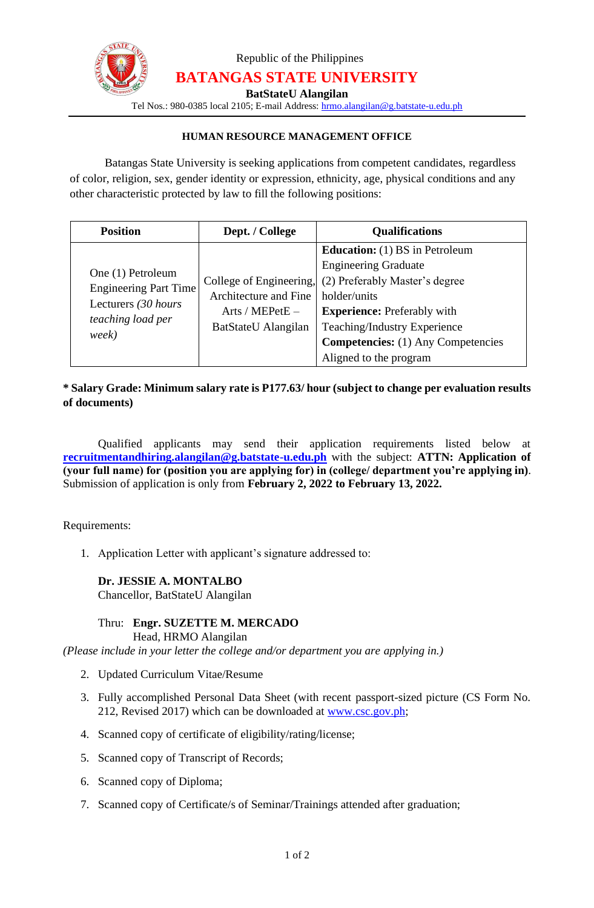

Republic of the Philippines **BATANGAS STATE UNIVERSITY**

**BatStateU Alangilan**

Tel Nos.: 980-0385 local 2105; E-mail Address: [hrmo.alangilan@g.batstate-u.edu.ph](mailto:hrmo.alangilan@g.batstate-u.edu.ph)

#### **HUMAN RESOURCE MANAGEMENT OFFICE**

Batangas State University is seeking applications from competent candidates, regardless of color, religion, sex, gender identity or expression, ethnicity, age, physical conditions and any other characteristic protected by law to fill the following positions:

| <b>Position</b>                                                                                        | Dept. / College                                                                            | <b>Qualifications</b>                                                                                                                                                                                                                     |
|--------------------------------------------------------------------------------------------------------|--------------------------------------------------------------------------------------------|-------------------------------------------------------------------------------------------------------------------------------------------------------------------------------------------------------------------------------------------|
| One (1) Petroleum<br><b>Engineering Part Time</b><br>Lecturers (30 hours<br>teaching load per<br>week) | College of Engineering,<br>Architecture and Fine<br>Arts / MEPetE -<br>BatStateU Alangilan | <b>Education:</b> (1) BS in Petroleum<br><b>Engineering Graduate</b><br>(2) Preferably Master's degree<br>holder/units<br><b>Experience:</b> Preferably with<br>Teaching/Industry Experience<br><b>Competencies:</b> (1) Any Competencies |
|                                                                                                        |                                                                                            | Aligned to the program                                                                                                                                                                                                                    |

## **\* Salary Grade: Minimum salary rate is P177.63/ hour (subject to change per evaluation results of documents)**

Qualified applicants may send their application requirements listed below at **recruitmentandhiring.alangilan@g.batstate-u.edu.ph** with the subject: **ATTN: Application of (your full name) for (position you are applying for) in (college/ department you're applying in)**. Submission of application is only from **February 2, 2022 to February 13, 2022.**

Requirements:

1. Application Letter with applicant's signature addressed to:

#### **Dr. JESSIE A. MONTALBO**

Chancellor, BatStateU Alangilan

# Thru: **Engr. SUZETTE M. MERCADO**

Head, HRMO Alangilan

*(Please include in your letter the college and/or department you are applying in.)*

- 2. Updated Curriculum Vitae/Resume
- 3. Fully accomplished Personal Data Sheet (with recent passport-sized picture (CS Form No. 212, Revised 2017) which can be downloaded at [www.csc.gov.ph;](http://www.csc.gov.ph/)
- 4. Scanned copy of certificate of eligibility/rating/license;
- 5. Scanned copy of Transcript of Records;
- 6. Scanned copy of Diploma;
- 7. Scanned copy of Certificate/s of Seminar/Trainings attended after graduation;